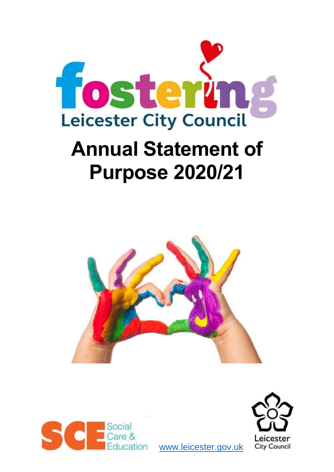

# **Annual Statement of Purpose 2020/21**





[www.leicester.gov.uk](http://www.leicester.gov.uk/) 

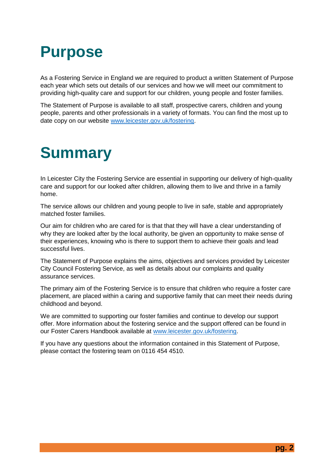# **Purpose**

As a Fostering Service in England we are required to product a written Statement of Purpose each year which sets out details of our services and how we will meet our commitment to providing high-quality care and support for our children, young people and foster families.

The Statement of Purpose is available to all staff, prospective carers, children and young people, parents and other professionals in a variety of formats. You can find the most up to date copy on our website [www.leicester.gov.uk/fostering.](http://www.leicester.gov.uk/fostering)

# **Summary**

In Leicester City the Fostering Service are essential in supporting our delivery of high-quality care and support for our looked after children, allowing them to live and thrive in a family home.

The service allows our children and young people to live in safe, stable and appropriately matched foster families.

Our aim for children who are cared for is that that they will have a clear understanding of why they are looked after by the local authority, be given an opportunity to make sense of their experiences, knowing who is there to support them to achieve their goals and lead successful lives.

The Statement of Purpose explains the aims, objectives and services provided by Leicester City Council Fostering Service, as well as details about our complaints and quality assurance services.

The primary aim of the Fostering Service is to ensure that children who require a foster care placement, are placed within a caring and supportive family that can meet their needs during childhood and beyond.

We are committed to supporting our foster families and continue to develop our support offer. More information about the fostering service and the support offered can be found in our Foster Carers Handbook available at [www.leicester.gov.uk/fostering.](http://www.leicester.gov.uk/fostering)

If you have any questions about the information contained in this Statement of Purpose, please contact the fostering team on 0116 454 4510.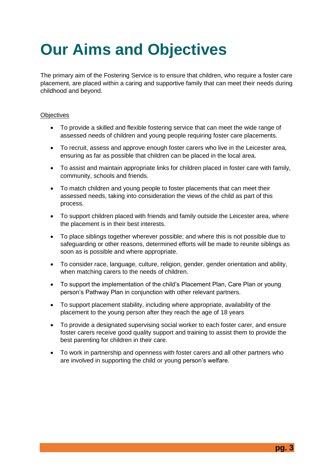# **Our Aims and Objectives**

The primary aim of the Fostering Service is to ensure that children, who require a foster care placement, are placed within a caring and supportive family that can meet their needs during childhood and beyond.

### **Objectives**

- To provide a skilled and flexible fostering service that can meet the wide range of assessed needs of children and young people requiring foster care placements.
- To recruit, assess and approve enough foster carers who live in the Leicester area, ensuring as far as possible that children can be placed in the local area.
- To assist and maintain appropriate links for children placed in foster care with family, community, schools and friends.
- To match children and young people to foster placements that can meet their assessed needs, taking into consideration the views of the child as part of this process.
- To support children placed with friends and family outside the Leicester area, where the placement is in their best interests.
- To place siblings together wherever possible; and where this is not possible due to safeguarding or other reasons, determined efforts will be made to reunite siblings as soon as is possible and where appropriate.
- To consider race, language, culture, religion, gender, gender orientation and ability, when matching carers to the needs of children.
- To support the implementation of the child's Placement Plan, Care Plan or young person's Pathway Plan in conjunction with other relevant partners.
- To support placement stability, including where appropriate, availability of the placement to the young person after they reach the age of 18 years
- To provide a designated supervising social worker to each foster carer, and ensure foster carers receive good quality support and training to assist them to provide the best parenting for children in their care.
- To work in partnership and openness with foster carers and all other partners who are involved in supporting the child or young person's welfare.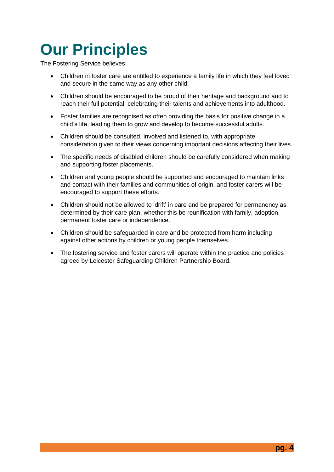# **Our Principles**

The Fostering Service believes:

- Children in foster care are entitled to experience a family life in which they feel loved and secure in the same way as any other child.
- Children should be encouraged to be proud of their heritage and background and to reach their full potential, celebrating their talents and achievements into adulthood.
- Foster families are recognised as often providing the basis for positive change in a child's life, leading them to grow and develop to become successful adults.
- Children should be consulted, involved and listened to, with appropriate consideration given to their views concerning important decisions affecting their lives.
- The specific needs of disabled children should be carefully considered when making and supporting foster placements.
- Children and young people should be supported and encouraged to maintain links and contact with their families and communities of origin, and foster carers will be encouraged to support these efforts.
- Children should not be allowed to 'drift' in care and be prepared for permanency as determined by their care plan, whether this be reunification with family, adoption, permanent foster care or independence.
- Children should be safeguarded in care and be protected from harm including against other actions by children or young people themselves.
- The fostering service and foster carers will operate within the practice and policies agreed by Leicester Safeguarding Children Partnership Board.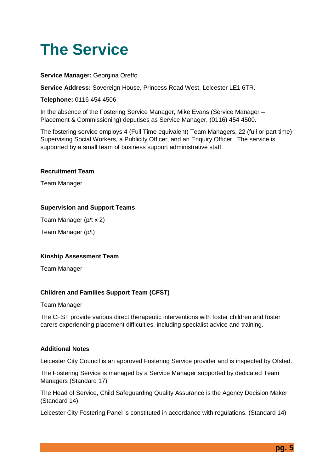# **The Service**

### **Service Manager:** Georgina Oreffo

**Service Address:** Sovereign House, Princess Road West, Leicester LE1 6TR.

**Telephone:** 0116 454 4506

In the absence of the Fostering Service Manager, Mike Evans (Service Manager – Placement & Commissioning) deputises as Service Manager, (0116) 454 4500.

The fostering service employs 4 (Full Time equivalent) Team Managers, 22 (full or part time) Supervising Social Workers, a Publicity Officer, and an Enquiry Officer. The service is supported by a small team of business support administrative staff.

#### **Recruitment Team**

Team Manager

#### **Supervision and Support Teams**

Team Manager (p/t x 2)

Team Manager (p/t)

#### **Kinship Assessment Team**

Team Manager

#### **Children and Families Support Team (CFST)**

#### Team Manager

The CFST provide various direct therapeutic interventions with foster children and foster carers experiencing placement difficulties, including specialist advice and training.

#### **Additional Notes**

Leicester City Council is an approved Fostering Service provider and is inspected by Ofsted.

The Fostering Service is managed by a Service Manager supported by dedicated Team Managers (Standard 17)

The Head of Service, Child Safeguarding Quality Assurance is the Agency Decision Maker (Standard 14)

Leicester City Fostering Panel is constituted in accordance with regulations. (Standard 14)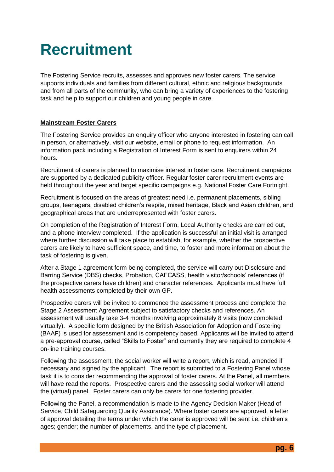# **Recruitment**

The Fostering Service recruits, assesses and approves new foster carers. The service supports individuals and families from different cultural, ethnic and religious backgrounds and from all parts of the community, who can bring a variety of experiences to the fostering task and help to support our children and young people in care.

### **Mainstream Foster Carers**

The Fostering Service provides an enquiry officer who anyone interested in fostering can call in person, or alternatively, visit our website, email or phone to request information. An information pack including a Registration of Interest Form is sent to enquirers within 24 hours.

Recruitment of carers is planned to maximise interest in foster care. Recruitment campaigns are supported by a dedicated publicity officer. Regular foster carer recruitment events are held throughout the year and target specific campaigns e.g. National Foster Care Fortnight.

Recruitment is focused on the areas of greatest need i.e. permanent placements, sibling groups, teenagers, disabled children's respite, mixed heritage, Black and Asian children, and geographical areas that are underrepresented with foster carers.

On completion of the Registration of Interest Form, Local Authority checks are carried out, and a phone interview completed. If the application is successful an initial visit is arranged where further discussion will take place to establish, for example, whether the prospective carers are likely to have sufficient space, and time, to foster and more information about the task of fostering is given.

After a Stage 1 agreement form being completed, the service will carry out Disclosure and Barring Service (DBS) checks, Probation, CAFCASS, health visitor/schools' references (if the prospective carers have children) and character references. Applicants must have full health assessments completed by their own GP.

Prospective carers will be invited to commence the assessment process and complete the Stage 2 Assessment Agreement subject to satisfactory checks and references. An assessment will usually take 3-4 months involving approximately 8 visits (now completed virtually). A specific form designed by the British Association for Adoption and Fostering (BAAF) is used for assessment and is competency based. Applicants will be invited to attend a pre-approval course, called "Skills to Foster" and currently they are required to complete 4 on-line training courses.

Following the assessment, the social worker will write a report, which is read, amended if necessary and signed by the applicant. The report is submitted to a Fostering Panel whose task it is to consider recommending the approval of foster carers. At the Panel, all members will have read the reports. Prospective carers and the assessing social worker will attend the (virtual) panel. Foster carers can only be carers for one fostering provider.

Following the Panel, a recommendation is made to the Agency Decision Maker (Head of Service, Child Safeguarding Quality Assurance). Where foster carers are approved, a letter of approval detailing the terms under which the carer is approved will be sent i.e. children's ages; gender; the number of placements, and the type of placement.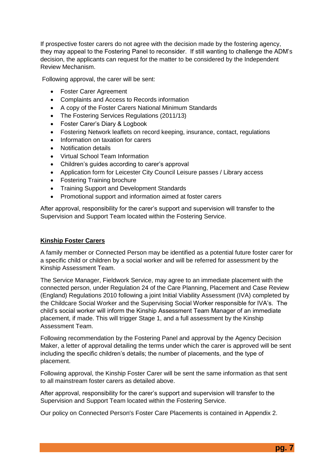If prospective foster carers do not agree with the decision made by the fostering agency, they may appeal to the Fostering Panel to reconsider. If still wanting to challenge the ADM's decision, the applicants can request for the matter to be considered by the Independent Review Mechanism.

Following approval, the carer will be sent:

- Foster Carer Agreement
- Complaints and Access to Records information
- A copy of the Foster Carers National Minimum Standards
- The Fostering Services Regulations (2011/13)
- Foster Carer's Diary & Logbook
- Fostering Network leaflets on record keeping, insurance, contact, regulations
- Information on taxation for carers
- Notification details
- Virtual School Team Information
- Children's guides according to carer's approval
- Application form for Leicester City Council Leisure passes / Library access
- Fostering Training brochure
- Training Support and Development Standards
- Promotional support and information aimed at foster carers

After approval, responsibility for the carer's support and supervision will transfer to the Supervision and Support Team located within the Fostering Service.

#### **Kinship Foster Carers**

A family member or Connected Person may be identified as a potential future foster carer for a specific child or children by a social worker and will be referred for assessment by the Kinship Assessment Team.

The Service Manager, Fieldwork Service, may agree to an immediate placement with the connected person, under Regulation 24 of the Care Planning, Placement and Case Review (England) Regulations 2010 following a joint Initial Viability Assessment (IVA) completed by the Childcare Social Worker and the Supervising Social Worker responsible for IVA's. The child's social worker will inform the Kinship Assessment Team Manager of an immediate placement, if made. This will trigger Stage 1, and a full assessment by the Kinship Assessment Team.

Following recommendation by the Fostering Panel and approval by the Agency Decision Maker, a letter of approval detailing the terms under which the carer is approved will be sent including the specific children's details; the number of placements, and the type of placement.

Following approval, the Kinship Foster Carer will be sent the same information as that sent to all mainstream foster carers as detailed above.

After approval, responsibility for the carer's support and supervision will transfer to the Supervision and Support Team located within the Fostering Service.

Our policy on Connected Person's Foster Care Placements is contained in Appendix 2.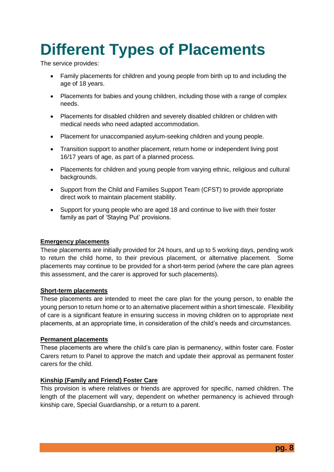# **Different Types of Placements**

The service provides:

- Family placements for children and young people from birth up to and including the age of 18 years.
- Placements for babies and young children, including those with a range of complex needs.
- Placements for disabled children and severely disabled children or children with medical needs who need adapted accommodation.
- Placement for unaccompanied asylum-seeking children and young people.
- Transition support to another placement, return home or independent living post 16/17 years of age, as part of a planned process.
- Placements for children and young people from varying ethnic, religious and cultural backgrounds.
- Support from the Child and Families Support Team (CFST) to provide appropriate direct work to maintain placement stability.
- Support for young people who are aged 18 and continue to live with their foster family as part of 'Staying Put' provisions.

#### **Emergency placements**

These placements are initially provided for 24 hours, and up to 5 working days, pending work to return the child home, to their previous placement, or alternative placement. Some placements may continue to be provided for a short-term period (where the care plan agrees this assessment, and the carer is approved for such placements).

#### **Short-term placements**

These placements are intended to meet the care plan for the young person, to enable the young person to return home or to an alternative placement within a short timescale. Flexibility of care is a significant feature in ensuring success in moving children on to appropriate next placements, at an appropriate time, in consideration of the child's needs and circumstances.

#### **Permanent placements**

These placements are where the child's care plan is permanency, within foster care. Foster Carers return to Panel to approve the match and update their approval as permanent foster carers for the child.

#### **Kinship (Family and Friend) Foster Care**

This provision is where relatives or friends are approved for specific, named children. The length of the placement will vary, dependent on whether permanency is achieved through kinship care, Special Guardianship, or a return to a parent.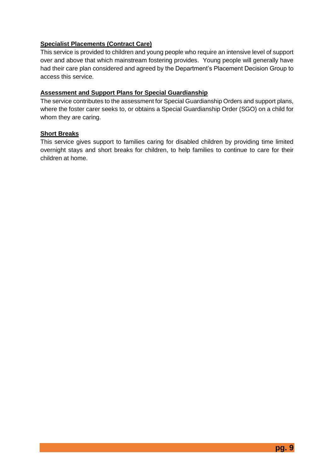### **Specialist Placements (Contract Care)**

This service is provided to children and young people who require an intensive level of support over and above that which mainstream fostering provides. Young people will generally have had their care plan considered and agreed by the Department's Placement Decision Group to access this service.

### **Assessment and Support Plans for Special Guardianship**

The service contributes to the assessment for Special Guardianship Orders and support plans, where the foster carer seeks to, or obtains a Special Guardianship Order (SGO) on a child for whom they are caring.

### **Short Breaks**

This service gives support to families caring for disabled children by providing time limited overnight stays and short breaks for children, to help families to continue to care for their children at home.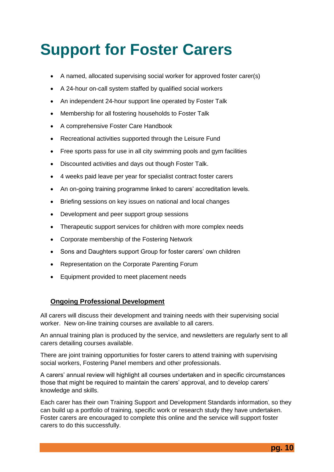# **Support for Foster Carers**

- A named, allocated supervising social worker for approved foster carer(s)
- A 24-hour on-call system staffed by qualified social workers
- An independent 24-hour support line operated by Foster Talk
- Membership for all fostering households to Foster Talk
- A comprehensive Foster Care Handbook
- Recreational activities supported through the Leisure Fund
- Free sports pass for use in all city swimming pools and gym facilities
- Discounted activities and days out though Foster Talk.
- 4 weeks paid leave per year for specialist contract foster carers
- An on-going training programme linked to carers' accreditation levels.
- Briefing sessions on key issues on national and local changes
- Development and peer support group sessions
- Therapeutic support services for children with more complex needs
- Corporate membership of the Fostering Network
- Sons and Daughters support Group for foster carers' own children
- Representation on the Corporate Parenting Forum
- Equipment provided to meet placement needs

### **Ongoing Professional Development**

All carers will discuss their development and training needs with their supervising social worker. New on-line training courses are available to all carers.

An annual training plan is produced by the service, and newsletters are regularly sent to all carers detailing courses available.

There are joint training opportunities for foster carers to attend training with supervising social workers, Fostering Panel members and other professionals.

A carers' annual review will highlight all courses undertaken and in specific circumstances those that might be required to maintain the carers' approval, and to develop carers' knowledge and skills.

Each carer has their own Training Support and Development Standards information, so they can build up a portfolio of training, specific work or research study they have undertaken. Foster carers are encouraged to complete this online and the service will support foster carers to do this successfully.

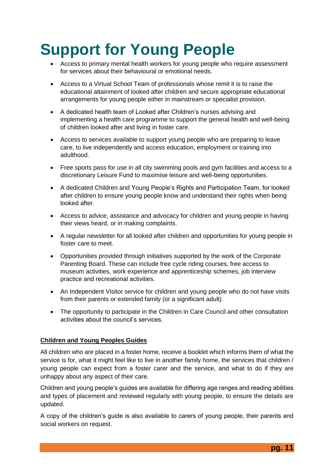# **Support for Young People**

- Access to primary mental health workers for young people who require assessment for services about their behavioural or emotional needs.
- Access to a Virtual School Team of professionals whose remit it is to raise the educational attainment of looked after children and secure appropriate educational arrangements for young people either in mainstream or specialist provision.
- A dedicated health team of Looked after Children's nurses advising and implementing a health care programme to support the general health and well-being of children looked after and living in foster care.
- Access to services available to support young people who are preparing to leave care, to live independently and access education, employment or training into adulthood.
- Free sports pass for use in all city swimming pools and gym facilities and access to a discretionary Leisure Fund to maximise leisure and well-being opportunities.
- A dedicated Children and Young People's Rights and Participation Team, for looked after children to ensure young people know and understand their rights when being looked after.
- Access to advice, assistance and advocacy for children and young people in having their views heard, or in making complaints.
- A regular newsletter for all looked after children and opportunities for young people in foster care to meet.
- Opportunities provided through initiatives supported by the work of the Corporate Parenting Board. These can include free cycle riding courses, free access to museum activities, work experience and apprenticeship schemes, job interview practice and recreational activities.
- An Independent Visitor service for children and young people who do not have visits from their parents or extended family (or a significant adult).
- The opportunity to participate in the Children in Care Council and other consultation activities about the council's services.

#### **Children and Young Peoples Guides**

All children who are placed in a foster home, receive a booklet which informs them of what the service is for, what it might feel like to live in another family home, the services that children / young people can expect from a foster carer and the service, and what to do if they are unhappy about any aspect of their care.

Children and young people's guides are available for differing age ranges and reading abilities and types of placement and reviewed regularly with young people, to ensure the details are updated.

A copy of the children's guide is also available to carers of young people, their parents and social workers on request.

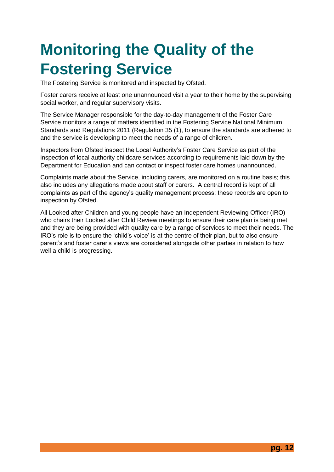# **Monitoring the Quality of the Fostering Service**

The Fostering Service is monitored and inspected by Ofsted.

Foster carers receive at least one unannounced visit a year to their home by the supervising social worker, and regular supervisory visits.

The Service Manager responsible for the day-to-day management of the Foster Care Service monitors a range of matters identified in the Fostering Service National Minimum Standards and Regulations 2011 (Regulation 35 (1), to ensure the standards are adhered to and the service is developing to meet the needs of a range of children.

Inspectors from Ofsted inspect the Local Authority's Foster Care Service as part of the inspection of local authority childcare services according to requirements laid down by the Department for Education and can contact or inspect foster care homes unannounced.

Complaints made about the Service, including carers, are monitored on a routine basis; this also includes any allegations made about staff or carers. A central record is kept of all complaints as part of the agency's quality management process; these records are open to inspection by Ofsted.

All Looked after Children and young people have an Independent Reviewing Officer (IRO) who chairs their Looked after Child Review meetings to ensure their care plan is being met and they are being provided with quality care by a range of services to meet their needs. The IRO's role is to ensure the 'child's voice' is at the centre of their plan, but to also ensure parent's and foster carer's views are considered alongside other parties in relation to how well a child is progressing.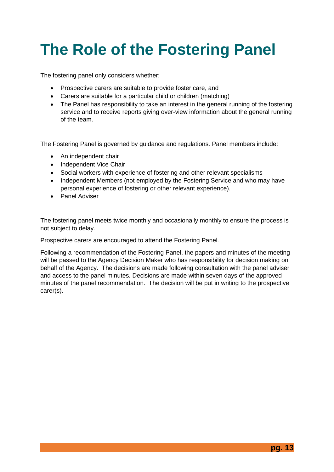# **The Role of the Fostering Panel**

The fostering panel only considers whether:

- Prospective carers are suitable to provide foster care, and
- Carers are suitable for a particular child or children (matching)
- The Panel has responsibility to take an interest in the general running of the fostering service and to receive reports giving over-view information about the general running of the team.

The Fostering Panel is governed by guidance and regulations. Panel members include:

- An independent chair
- Independent Vice Chair
- Social workers with experience of fostering and other relevant specialisms
- Independent Members (not employed by the Fostering Service and who may have personal experience of fostering or other relevant experience).
- Panel Adviser

The fostering panel meets twice monthly and occasionally monthly to ensure the process is not subject to delay.

Prospective carers are encouraged to attend the Fostering Panel.

Following a recommendation of the Fostering Panel, the papers and minutes of the meeting will be passed to the Agency Decision Maker who has responsibility for decision making on behalf of the Agency. The decisions are made following consultation with the panel adviser and access to the panel minutes. Decisions are made within seven days of the approved minutes of the panel recommendation. The decision will be put in writing to the prospective carer(s).

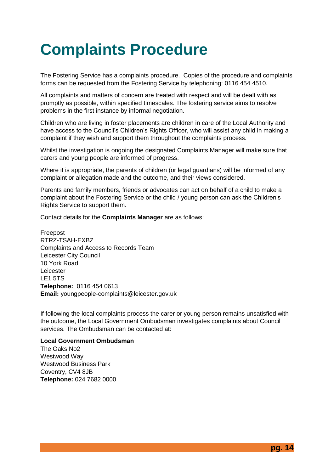# **Complaints Procedure**

The Fostering Service has a complaints procedure. Copies of the procedure and complaints forms can be requested from the Fostering Service by telephoning: 0116 454 4510.

All complaints and matters of concern are treated with respect and will be dealt with as promptly as possible, within specified timescales. The fostering service aims to resolve problems in the first instance by informal negotiation.

Children who are living in foster placements are children in care of the Local Authority and have access to the Council's Children's Rights Officer, who will assist any child in making a complaint if they wish and support them throughout the complaints process.

Whilst the investigation is ongoing the designated Complaints Manager will make sure that carers and young people are informed of progress.

Where it is appropriate, the parents of children (or legal guardians) will be informed of any complaint or allegation made and the outcome, and their views considered.

Parents and family members, friends or advocates can act on behalf of a child to make a complaint about the Fostering Service or the child / young person can ask the Children's Rights Service to support them.

Contact details for the **Complaints Manager** are as follows:

Freepost RTRZ-TSAH-EXBZ Complaints and Access to Records Team Leicester City Council 10 York Road Leicester LE1 5TS **Telephone:** 0116 454 0613 **Email:** youngpeople-complaints@leicester.gov.uk

If following the local complaints process the carer or young person remains unsatisfied with the outcome, the Local Government Ombudsman investigates complaints about Council services. The Ombudsman can be contacted at:

### **Local Government Ombudsman**

The Oaks No2 Westwood Way Westwood Business Park Coventry, CV4 8JB **Telephone:** 024 7682 0000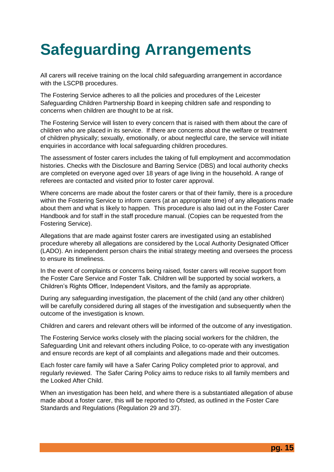# **Safeguarding Arrangements**

All carers will receive training on the local child safeguarding arrangement in accordance with the LSCPB procedures.

The Fostering Service adheres to all the policies and procedures of the Leicester Safeguarding Children Partnership Board in keeping children safe and responding to concerns when children are thought to be at risk.

The Fostering Service will listen to every concern that is raised with them about the care of children who are placed in its service. If there are concerns about the welfare or treatment of children physically; sexually, emotionally, or about neglectful care, the service will initiate enquiries in accordance with local safeguarding children procedures.

The assessment of foster carers includes the taking of full employment and accommodation histories. Checks with the Disclosure and Barring Service (DBS) and local authority checks are completed on everyone aged over 18 years of age living in the household. A range of referees are contacted and visited prior to foster carer approval.

Where concerns are made about the foster carers or that of their family, there is a procedure within the Fostering Service to inform carers (at an appropriate time) of any allegations made about them and what is likely to happen. This procedure is also laid out in the Foster Carer Handbook and for staff in the staff procedure manual. (Copies can be requested from the Fostering Service).

Allegations that are made against foster carers are investigated using an established procedure whereby all allegations are considered by the Local Authority Designated Officer (LADO). An independent person chairs the initial strategy meeting and oversees the process to ensure its timeliness.

In the event of complaints or concerns being raised, foster carers will receive support from the Foster Care Service and Foster Talk. Children will be supported by social workers, a Children's Rights Officer, Independent Visitors, and the family as appropriate.

During any safeguarding investigation, the placement of the child (and any other children) will be carefully considered during all stages of the investigation and subsequently when the outcome of the investigation is known.

Children and carers and relevant others will be informed of the outcome of any investigation.

The Fostering Service works closely with the placing social workers for the children, the Safeguarding Unit and relevant others including Police, to co-operate with any investigation and ensure records are kept of all complaints and allegations made and their outcomes.

Each foster care family will have a Safer Caring Policy completed prior to approval, and regularly reviewed. The Safer Caring Policy aims to reduce risks to all family members and the Looked After Child.

When an investigation has been held, and where there is a substantiated allegation of abuse made about a foster carer, this will be reported to Ofsted, as outlined in the Foster Care Standards and Regulations (Regulation 29 and 37).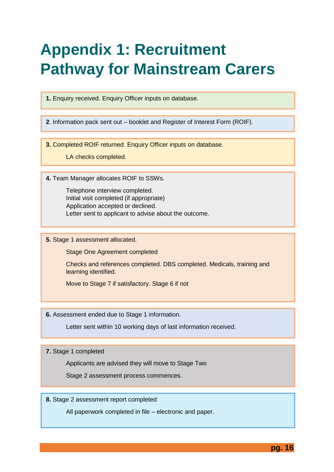# **Appendix 1: Recruitment Pathway for Mainstream Carers**

**1.** Enquiry received. Enquiry Officer inputs on database.

**2**. Information pack sent out – booklet and Register of Interest Form (ROIF).

**3.** Completed ROIF returned. Enquiry Officer inputs on database.

LA checks completed.

**4.** Team Manager allocates ROIF to SSWs.

Telephone interview completed. Initial visit completed (if appropriate) Application accepted or declined. Letter sent to applicant to advise about the outcome.

**5.** Stage 1 assessment allocated.

Stage One Agreement completed

Checks and references completed. DBS completed. Medicals, training and learning identified.

Move to Stage 7 if satisfactory. Stage 6 if not

**6.** Assessment ended due to Stage 1 information.

Letter sent within 10 working days of last information received.

**7.** Stage 1 completed

Applicants are advised they will move to Stage Two

Stage 2 assessment process commences.

**8.** Stage 2 assessment report completed

All paperwork completed in file – electronic and paper.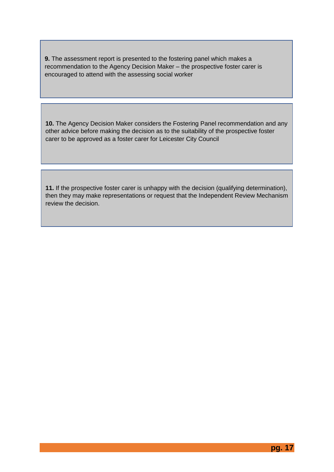**9.** The assessment report is presented to the fostering panel which makes a recommendation to the Agency Decision Maker – the prospective foster carer is encouraged to attend with the assessing social worker

**10.** The Agency Decision Maker considers the Fostering Panel recommendation and any other advice before making the decision as to the suitability of the prospective foster carer to be approved as a foster carer for Leicester City Council

**11.** If the prospective foster carer is unhappy with the decision (qualifying determination), then they may make representations or request that the Independent Review Mechanism review the decision.

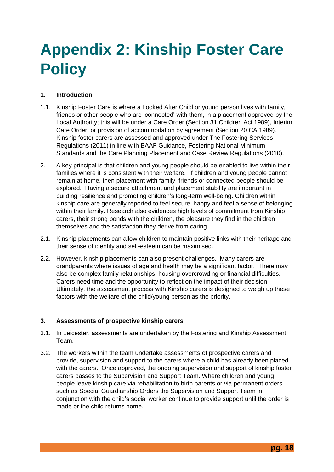# **Appendix 2: Kinship Foster Care Policy**

## **1. Introduction**

- 1.1. Kinship Foster Care is where a Looked After Child or young person lives with family, friends or other people who are 'connected' with them, in a placement approved by the Local Authority; this will be under a Care Order (Section 31 Children Act 1989), Interim Care Order, or provision of accommodation by agreement (Section 20 CA 1989). Kinship foster carers are assessed and approved under The Fostering Services Regulations (2011) in line with BAAF Guidance, Fostering National Minimum Standards and the Care Planning Placement and Case Review Regulations (2010).
- 2. A key principal is that children and young people should be enabled to live within their families where it is consistent with their welfare. If children and young people cannot remain at home, then placement with family, friends or connected people should be explored. Having a secure attachment and placement stability are important in building resilience and promoting children's long-term well-being. Children within kinship care are generally reported to feel secure, happy and feel a sense of belonging within their family. Research also evidences high levels of commitment from Kinship carers, their strong bonds with the children, the pleasure they find in the children themselves and the satisfaction they derive from caring.
- 2.1. Kinship placements can allow children to maintain positive links with their heritage and their sense of identity and self-esteem can be maximised.
- 2.2. However, kinship placements can also present challenges. Many carers are grandparents where issues of age and health may be a significant factor. There may also be complex family relationships, housing overcrowding or financial difficulties. Carers need time and the opportunity to reflect on the impact of their decision. Ultimately, the assessment process with Kinship carers is designed to weigh up these factors with the welfare of the child/young person as the priority.

### **3. Assessments of prospective kinship carers**

- 3.1. In Leicester, assessments are undertaken by the Fostering and Kinship Assessment Team.
- 3.2. The workers within the team undertake assessments of prospective carers and provide, supervision and support to the carers where a child has already been placed with the carers. Once approved, the ongoing supervision and support of kinship foster carers passes to the Supervision and Support Team. Where children and young people leave kinship care via rehabilitation to birth parents or via permanent orders such as Special Guardianship Orders the Supervision and Support Team in conjunction with the child's social worker continue to provide support until the order is made or the child returns home.

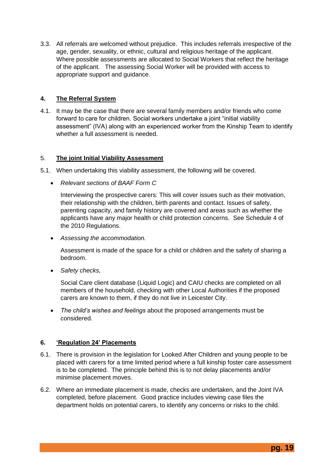3.3. All referrals are welcomed without prejudice. This includes referrals irrespective of the age, gender, sexuality, or ethnic, cultural and religious heritage of the applicant. Where possible assessments are allocated to Social Workers that reflect the heritage of the applicant. The assessing Social Worker will be provided with access to appropriate support and guidance.

### **4. The Referral System**

4.1. It may be the case that there are several family members and/or friends who come forward to care for children. Social workers undertake a joint "initial viability assessment" (IVA) along with an experienced worker from the Kinship Team to identify whether a full assessment is needed.

### 5. **The joint Initial Viability Assessment**

- 5.1. When undertaking this viability assessment, the following will be covered.
	- *Relevant sections of BAAF Form C*

Interviewing the prospective carers: This will cover issues such as their motivation, their relationship with the children, birth parents and contact. Issues of safety, parenting capacity, and family history are covered and areas such as whether the applicants have any major health or child protection concerns. See Schedule 4 of the 2010 Regulations.

*Assessing the accommodation.*

Assessment is made of the space for a child or children and the safety of sharing a bedroom.

*Safety checks,* 

Social Care client database (Liquid Logic) and CAIU checks are completed on all members of the household, checking with other Local Authorities if the proposed carers are known to them, if they do not live in Leicester City.

 *The child's wishes and feelings* about the proposed arrangements must be considered.

#### **6. 'Regulation 24' Placements**

- 6.1. There is provision in the legislation for Looked After Children and young people to be placed with carers for a time limited period where a full kinship foster care assessment is to be completed. The principle behind this is to not delay placements and/or minimise placement moves.
- 6.2. Where an immediate placement is made, checks are undertaken, and the Joint IVA completed, before placement. Good practice includes viewing case files the department holds on potential carers, to identify any concerns or risks to the child.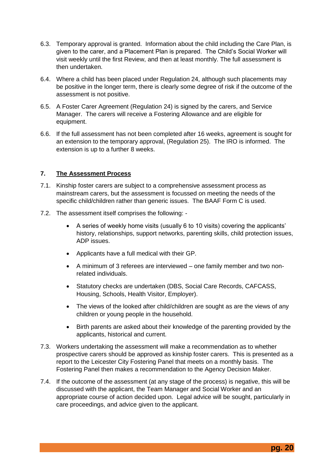- 6.3. Temporary approval is granted. Information about the child including the Care Plan, is given to the carer, and a Placement Plan is prepared. The Child's Social Worker will visit weekly until the first Review, and then at least monthly. The full assessment is then undertaken.
- 6.4. Where a child has been placed under Regulation 24, although such placements may be positive in the longer term, there is clearly some degree of risk if the outcome of the assessment is not positive.
- 6.5. A Foster Carer Agreement (Regulation 24) is signed by the carers, and Service Manager. The carers will receive a Fostering Allowance and are eligible for equipment.
- 6.6. If the full assessment has not been completed after 16 weeks, agreement is sought for an extension to the temporary approval, (Regulation 25). The IRO is informed. The extension is up to a further 8 weeks.

#### **7. The Assessment Process**

- 7.1. Kinship foster carers are subject to a comprehensive assessment process as mainstream carers, but the assessment is focussed on meeting the needs of the specific child/children rather than generic issues. The BAAF Form C is used.
- 7.2. The assessment itself comprises the following:
	- A series of weekly home visits (usually 6 to 10 visits) covering the applicants' history, relationships, support networks, parenting skills, child protection issues, ADP issues.
	- Applicants have a full medical with their GP.
	- A minimum of 3 referees are interviewed one family member and two nonrelated individuals.
	- Statutory checks are undertaken (DBS, Social Care Records, CAFCASS, Housing, Schools, Health Visitor, Employer).
	- The views of the looked after child/children are sought as are the views of any children or young people in the household.
	- Birth parents are asked about their knowledge of the parenting provided by the applicants, historical and current.
- 7.3. Workers undertaking the assessment will make a recommendation as to whether prospective carers should be approved as kinship foster carers. This is presented as a report to the Leicester City Fostering Panel that meets on a monthly basis. The Fostering Panel then makes a recommendation to the Agency Decision Maker.
- 7.4. If the outcome of the assessment (at any stage of the process) is negative, this will be discussed with the applicant, the Team Manager and Social Worker and an appropriate course of action decided upon. Legal advice will be sought, particularly in care proceedings, and advice given to the applicant.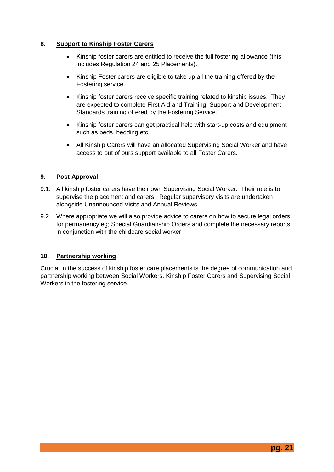### **8. Support to Kinship Foster Carers**

- Kinship foster carers are entitled to receive the full fostering allowance (this includes Regulation 24 and 25 Placements).
- Kinship Foster carers are eligible to take up all the training offered by the Fostering service.
- Kinship foster carers receive specific training related to kinship issues. They are expected to complete First Aid and Training, Support and Development Standards training offered by the Fostering Service.
- Kinship foster carers can get practical help with start-up costs and equipment such as beds, bedding etc.
- All Kinship Carers will have an allocated Supervising Social Worker and have access to out of ours support available to all Foster Carers.

### **9. Post Approval**

- 9.1. All kinship foster carers have their own Supervising Social Worker. Their role is to supervise the placement and carers. Regular supervisory visits are undertaken alongside Unannounced Visits and Annual Reviews.
- 9.2. Where appropriate we will also provide advice to carers on how to secure legal orders for permanency eg; Special Guardianship Orders and complete the necessary reports in conjunction with the childcare social worker.

#### **10. Partnership working**

Crucial in the success of kinship foster care placements is the degree of communication and partnership working between Social Workers, Kinship Foster Carers and Supervising Social Workers in the fostering service.